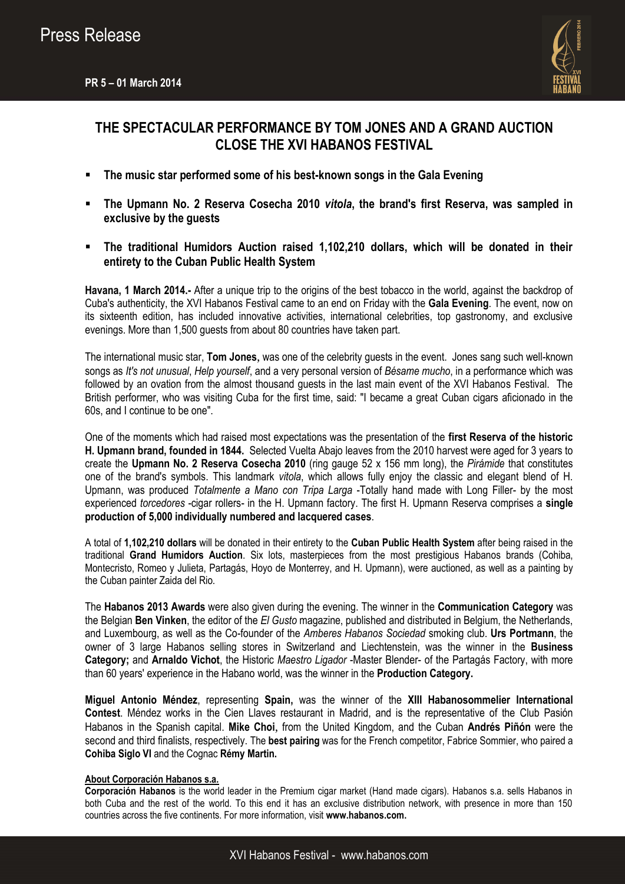

## **THE SPECTACULAR PERFORMANCE BY TOM JONES AND A GRAND AUCTION CLOSE THE XVI HABANOS FESTIVAL**

- **The music star performed some of his best-known songs in the Gala Evening**
- **The Upmann No. 2 Reserva Cosecha 2010** *vitola***, the brand's first Reserva, was sampled in exclusive by the guests**
- **The traditional Humidors Auction raised 1,102,210 dollars, which will be donated in their entirety to the Cuban Public Health System**

**Havana, 1 March 2014.-** After a unique trip to the origins of the best tobacco in the world, against the backdrop of Cuba's authenticity, the XVI Habanos Festival came to an end on Friday with the **Gala Evening**. The event, now on its sixteenth edition, has included innovative activities, international celebrities, top gastronomy, and exclusive evenings. More than 1,500 guests from about 80 countries have taken part.

The international music star, **Tom Jones**, was one of the celebrity guests in the event. Jones sang such well-known songs as *It's not unusual*, *Help yourself*, and a very personal version of *Bésame mucho*, in a performance which was followed by an ovation from the almost thousand guests in the last main event of the XVI Habanos Festival. The British performer, who was visiting Cuba for the first time, said: "I became a great Cuban cigars aficionado in the 60s, and I continue to be one".

One of the moments which had raised most expectations was the presentation of the **first Reserva of the historic H. Upmann brand, founded in 1844.** Selected Vuelta Abajo leaves from the 2010 harvest were aged for 3 years to create the **Upmann No. 2 Reserva Cosecha 2010** (ring gauge 52 x 156 mm long), the *Pirámide* that constitutes one of the brand's symbols. This landmark *vitola*, which allows fully enjoy the classic and elegant blend of H. Upmann, was produced *Totalmente a Mano con Tripa Larga* -Totally hand made with Long Filler- by the most experienced *torcedores* -cigar rollers- in the H. Upmann factory. The first H. Upmann Reserva comprises a **single production of 5,000 individually numbered and lacquered cases**.

A total of **1,102,210 dollars** will be donated in their entirety to the **Cuban Public Health System** after being raised in the traditional **Grand Humidors Auction**. Six lots, masterpieces from the most prestigious Habanos brands (Cohiba, Montecristo, Romeo y Julieta, Partagás, Hoyo de Monterrey, and H. Upmann), were auctioned, as well as a painting by the Cuban painter Zaida del Rio.

The **Habanos 2013 Awards** were also given during the evening. The winner in the **Communication Category** was the Belgian **Ben Vinken**, the editor of the *El Gusto* magazine, published and distributed in Belgium, the Netherlands, and Luxembourg, as well as the Co-founder of the *Amberes Habanos Sociedad* smoking club. **Urs Portmann**, the owner of 3 large Habanos selling stores in Switzerland and Liechtenstein, was the winner in the **Business Category;** and **Arnaldo Vichot**, the Historic *Maestro Ligador* -Master Blender- of the Partagás Factory, with more than 60 years' experience in the Habano world, was the winner in the **Production Category.**

**Miguel Antonio Méndez**, representing **Spain,** was the winner of the **XIII Habanosommelier International Contest**. Méndez works in the Cien Llaves restaurant in Madrid, and is the representative of the Club Pasión Habanos in the Spanish capital. **Mike Choi**, from the United Kingdom, and the Cuban **Andrés Piñón** were the second and third finalists, respectively. The **best pairing** was for the French competitor, Fabrice Sommier, who paired a **Cohiba Siglo VI** and the Cognac **Rémy Martin.** 

## **About Corporación Habanos s.a.**

**Corporación Habanos** is the world leader in the Premium cigar market (Hand made cigars). Habanos s.a. sells Habanos in both Cuba and the rest of the world. To this end it has an exclusive distribution network, with presence in more than 150 countries across the five continents. For more information, visit **[www.habanos.com.](http://www.habanos.com/)**